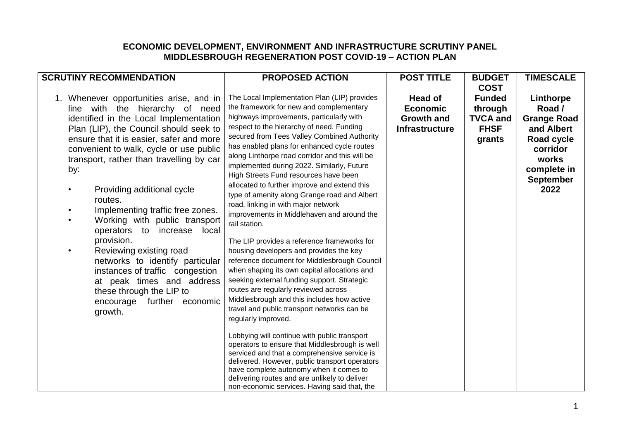## **ECONOMIC DEVELOPMENT, ENVIRONMENT AND INFRASTRUCTURE SCRUTINY PANEL MIDDLESBROUGH REGENERATION POST COVID-19 – ACTION PLAN**

| <b>SCRUTINY RECOMMENDATION</b>                                                                                                                                                                                                                                                                                                                                                                                                                                                                                                                                                                                                                                         | <b>PROPOSED ACTION</b>                                                                                                                                                                                                                                                                                                                                                                                                                                                                                                                                                                                                                                                                                                                                                                                                                                                                                                                                                                                                                                                                                                                                                                                                                                                                                                                                                             | <b>POST TITLE</b>                                                               | <b>BUDGET</b>                                                        | <b>TIMESCALE</b>                                                                                                                      |
|------------------------------------------------------------------------------------------------------------------------------------------------------------------------------------------------------------------------------------------------------------------------------------------------------------------------------------------------------------------------------------------------------------------------------------------------------------------------------------------------------------------------------------------------------------------------------------------------------------------------------------------------------------------------|------------------------------------------------------------------------------------------------------------------------------------------------------------------------------------------------------------------------------------------------------------------------------------------------------------------------------------------------------------------------------------------------------------------------------------------------------------------------------------------------------------------------------------------------------------------------------------------------------------------------------------------------------------------------------------------------------------------------------------------------------------------------------------------------------------------------------------------------------------------------------------------------------------------------------------------------------------------------------------------------------------------------------------------------------------------------------------------------------------------------------------------------------------------------------------------------------------------------------------------------------------------------------------------------------------------------------------------------------------------------------------|---------------------------------------------------------------------------------|----------------------------------------------------------------------|---------------------------------------------------------------------------------------------------------------------------------------|
|                                                                                                                                                                                                                                                                                                                                                                                                                                                                                                                                                                                                                                                                        |                                                                                                                                                                                                                                                                                                                                                                                                                                                                                                                                                                                                                                                                                                                                                                                                                                                                                                                                                                                                                                                                                                                                                                                                                                                                                                                                                                                    |                                                                                 | <b>COST</b>                                                          |                                                                                                                                       |
| 1. Whenever opportunities arise, and in<br>line with the hierarchy of need<br>identified in the Local Implementation<br>Plan (LIP), the Council should seek to<br>ensure that it is easier, safer and more<br>convenient to walk, cycle or use public<br>transport, rather than travelling by car<br>by:<br>Providing additional cycle<br>routes.<br>Implementing traffic free zones.<br>Working with public transport<br>operators to increase local<br>provision.<br>Reviewing existing road<br>networks to identify particular<br>instances of traffic congestion<br>at peak times and address<br>these through the LIP to<br>encourage further economic<br>growth. | The Local Implementation Plan (LIP) provides<br>the framework for new and complementary<br>highways improvements, particularly with<br>respect to the hierarchy of need. Funding<br>secured from Tees Valley Combined Authority<br>has enabled plans for enhanced cycle routes<br>along Linthorpe road corridor and this will be<br>implemented during 2022. Similarly, Future<br>High Streets Fund resources have been<br>allocated to further improve and extend this<br>type of amenity along Grange road and Albert<br>road, linking in with major network<br>improvements in Middlehaven and around the<br>rail station.<br>The LIP provides a reference frameworks for<br>housing developers and provides the key<br>reference document for Middlesbrough Council<br>when shaping its own capital allocations and<br>seeking external funding support. Strategic<br>routes are regularly reviewed across<br>Middlesbrough and this includes how active<br>travel and public transport networks can be<br>regularly improved.<br>Lobbying will continue with public transport<br>operators to ensure that Middlesbrough is well<br>serviced and that a comprehensive service is<br>delivered. However, public transport operators<br>have complete autonomy when it comes to<br>delivering routes and are unlikely to deliver<br>non-economic services. Having said that, the | <b>Head of</b><br><b>Economic</b><br><b>Growth and</b><br><b>Infrastructure</b> | <b>Funded</b><br>through<br><b>TVCA and</b><br><b>FHSF</b><br>grants | Linthorpe<br>Road /<br><b>Grange Road</b><br>and Albert<br>Road cycle<br>corridor<br>works<br>complete in<br><b>September</b><br>2022 |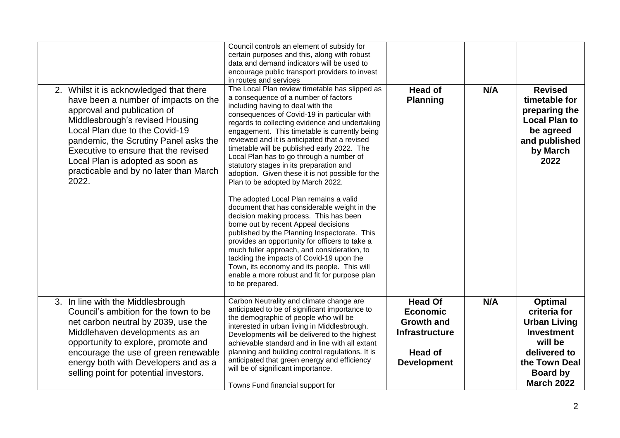| 2. Whilst it is acknowledged that there<br>have been a number of impacts on the<br>approval and publication of<br>Middlesbrough's revised Housing<br>Local Plan due to the Covid-19<br>pandemic, the Scrutiny Panel asks the<br>Executive to ensure that the revised<br>Local Plan is adopted as soon as<br>practicable and by no later than March<br>2022. | Council controls an element of subsidy for<br>certain purposes and this, along with robust<br>data and demand indicators will be used to<br>encourage public transport providers to invest<br>in routes and services<br>The Local Plan review timetable has slipped as<br>a consequence of a number of factors<br>including having to deal with the<br>consequences of Covid-19 in particular with<br>regards to collecting evidence and undertaking<br>engagement. This timetable is currently being<br>reviewed and it is anticipated that a revised<br>timetable will be published early 2022. The<br>Local Plan has to go through a number of<br>statutory stages in its preparation and<br>adoption. Given these it is not possible for the<br>Plan to be adopted by March 2022.<br>The adopted Local Plan remains a valid<br>document that has considerable weight in the<br>decision making process. This has been<br>borne out by recent Appeal decisions<br>published by the Planning Inspectorate. This<br>provides an opportunity for officers to take a<br>much fuller approach, and consideration, to<br>tackling the impacts of Covid-19 upon the<br>Town, its economy and its people. This will<br>enable a more robust and fit for purpose plan<br>to be prepared. | <b>Head of</b><br><b>Planning</b>                                                                                       | N/A | <b>Revised</b><br>timetable for<br>preparing the<br><b>Local Plan to</b><br>be agreed<br>and published<br>by March<br>2022                              |
|-------------------------------------------------------------------------------------------------------------------------------------------------------------------------------------------------------------------------------------------------------------------------------------------------------------------------------------------------------------|------------------------------------------------------------------------------------------------------------------------------------------------------------------------------------------------------------------------------------------------------------------------------------------------------------------------------------------------------------------------------------------------------------------------------------------------------------------------------------------------------------------------------------------------------------------------------------------------------------------------------------------------------------------------------------------------------------------------------------------------------------------------------------------------------------------------------------------------------------------------------------------------------------------------------------------------------------------------------------------------------------------------------------------------------------------------------------------------------------------------------------------------------------------------------------------------------------------------------------------------------------------------------------|-------------------------------------------------------------------------------------------------------------------------|-----|---------------------------------------------------------------------------------------------------------------------------------------------------------|
| 3. In line with the Middlesbrough<br>Council's ambition for the town to be<br>net carbon neutral by 2039, use the<br>Middlehaven developments as an<br>opportunity to explore, promote and<br>encourage the use of green renewable<br>energy both with Developers and as a<br>selling point for potential investors.                                        | Carbon Neutrality and climate change are<br>anticipated to be of significant importance to<br>the demographic of people who will be<br>interested in urban living in Middlesbrough.<br>Developments will be delivered to the highest<br>achievable standard and in line with all extant<br>planning and building control regulations. It is<br>anticipated that green energy and efficiency<br>will be of significant importance.<br>Towns Fund financial support for                                                                                                                                                                                                                                                                                                                                                                                                                                                                                                                                                                                                                                                                                                                                                                                                              | <b>Head Of</b><br><b>Economic</b><br><b>Growth and</b><br><b>Infrastructure</b><br><b>Head of</b><br><b>Development</b> | N/A | Optimal<br>criteria for<br><b>Urban Living</b><br><b>Investment</b><br>will be<br>delivered to<br>the Town Deal<br><b>Board by</b><br><b>March 2022</b> |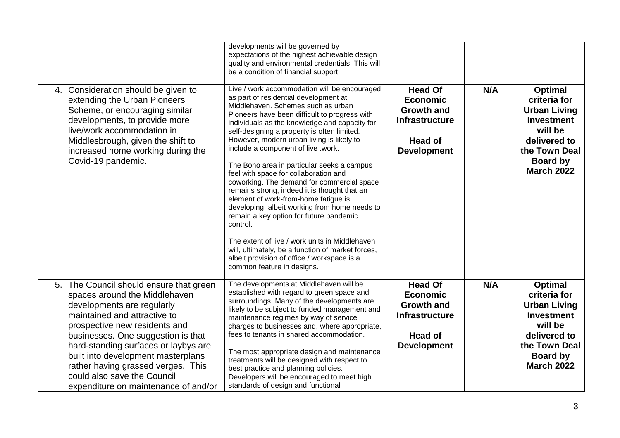|                                                                                                                                                                                                                                                                                                                                                                                                          | developments will be governed by<br>expectations of the highest achievable design<br>quality and environmental credentials. This will<br>be a condition of financial support.                                                                                                                                                                                                                                                                                                                                                                                                                                                                                                                                                                                                                                                                                                            |                                                                                                                         |     |                                                                                                                                                         |
|----------------------------------------------------------------------------------------------------------------------------------------------------------------------------------------------------------------------------------------------------------------------------------------------------------------------------------------------------------------------------------------------------------|------------------------------------------------------------------------------------------------------------------------------------------------------------------------------------------------------------------------------------------------------------------------------------------------------------------------------------------------------------------------------------------------------------------------------------------------------------------------------------------------------------------------------------------------------------------------------------------------------------------------------------------------------------------------------------------------------------------------------------------------------------------------------------------------------------------------------------------------------------------------------------------|-------------------------------------------------------------------------------------------------------------------------|-----|---------------------------------------------------------------------------------------------------------------------------------------------------------|
| 4. Consideration should be given to<br>extending the Urban Pioneers<br>Scheme, or encouraging similar<br>developments, to provide more<br>live/work accommodation in<br>Middlesbrough, given the shift to<br>increased home working during the<br>Covid-19 pandemic.                                                                                                                                     | Live / work accommodation will be encouraged<br>as part of residential development at<br>Middlehaven. Schemes such as urban<br>Pioneers have been difficult to progress with<br>individuals as the knowledge and capacity for<br>self-designing a property is often limited.<br>However, modern urban living is likely to<br>include a component of live .work.<br>The Boho area in particular seeks a campus<br>feel with space for collaboration and<br>coworking. The demand for commercial space<br>remains strong, indeed it is thought that an<br>element of work-from-home fatigue is<br>developing, albeit working from home needs to<br>remain a key option for future pandemic<br>control.<br>The extent of live / work units in Middlehaven<br>will, ultimately, be a function of market forces,<br>albeit provision of office / workspace is a<br>common feature in designs. | <b>Head Of</b><br><b>Economic</b><br><b>Growth and</b><br><b>Infrastructure</b><br><b>Head of</b><br><b>Development</b> | N/A | <b>Optimal</b><br>criteria for<br><b>Urban Living</b><br><b>Investment</b><br>will be<br>delivered to<br>the Town Deal<br>Board by<br><b>March 2022</b> |
| 5. The Council should ensure that green<br>spaces around the Middlehaven<br>developments are regularly<br>maintained and attractive to<br>prospective new residents and<br>businesses. One suggestion is that<br>hard-standing surfaces or laybys are<br>built into development masterplans<br>rather having grassed verges. This<br>could also save the Council<br>expenditure on maintenance of and/or | The developments at Middlehaven will be<br>established with regard to green space and<br>surroundings. Many of the developments are<br>likely to be subject to funded management and<br>maintenance regimes by way of service<br>charges to businesses and, where appropriate,<br>fees to tenants in shared accommodation.<br>The most appropriate design and maintenance<br>treatments will be designed with respect to<br>best practice and planning policies.<br>Developers will be encouraged to meet high<br>standards of design and functional                                                                                                                                                                                                                                                                                                                                     | <b>Head Of</b><br><b>Economic</b><br><b>Growth and</b><br><b>Infrastructure</b><br><b>Head of</b><br><b>Development</b> | N/A | Optimal<br>criteria for<br><b>Urban Living</b><br><b>Investment</b><br>will be<br>delivered to<br>the Town Deal<br><b>Board by</b><br><b>March 2022</b> |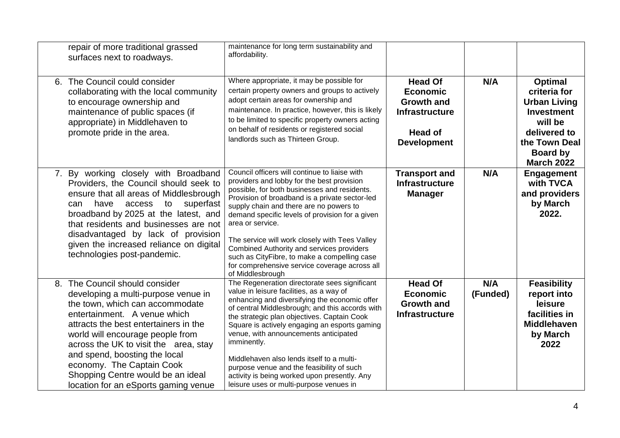| repair of more traditional grassed<br>surfaces next to roadways.                                                                                                                                                                                                                                                                                                                                          | maintenance for long term sustainability and<br>affordability.                                                                                                                                                                                                                                                                                                                                                                                                                                                                             |                                                                                                                         |                 |                                                                                                                                                                |
|-----------------------------------------------------------------------------------------------------------------------------------------------------------------------------------------------------------------------------------------------------------------------------------------------------------------------------------------------------------------------------------------------------------|--------------------------------------------------------------------------------------------------------------------------------------------------------------------------------------------------------------------------------------------------------------------------------------------------------------------------------------------------------------------------------------------------------------------------------------------------------------------------------------------------------------------------------------------|-------------------------------------------------------------------------------------------------------------------------|-----------------|----------------------------------------------------------------------------------------------------------------------------------------------------------------|
| 6. The Council could consider<br>collaborating with the local community<br>to encourage ownership and<br>maintenance of public spaces (if<br>appropriate) in Middlehaven to<br>promote pride in the area.                                                                                                                                                                                                 | Where appropriate, it may be possible for<br>certain property owners and groups to actively<br>adopt certain areas for ownership and<br>maintenance. In practice, however, this is likely<br>to be limited to specific property owners acting<br>on behalf of residents or registered social<br>landlords such as Thirteen Group.                                                                                                                                                                                                          | <b>Head Of</b><br><b>Economic</b><br><b>Growth and</b><br><b>Infrastructure</b><br><b>Head of</b><br><b>Development</b> | N/A             | <b>Optimal</b><br>criteria for<br><b>Urban Living</b><br><b>Investment</b><br>will be<br>delivered to<br>the Town Deal<br><b>Board by</b><br><b>March 2022</b> |
| 7. By working closely with Broadband<br>Providers, the Council should seek to<br>ensure that all areas of Middlesbrough<br>can have access to<br>superfast<br>broadband by 2025 at the latest, and<br>that residents and businesses are not<br>disadvantaged by lack of provision<br>given the increased reliance on digital<br>technologies post-pandemic.                                               | Council officers will continue to liaise with<br>providers and lobby for the best provision<br>possible, for both businesses and residents.<br>Provision of broadband is a private sector-led<br>supply chain and there are no powers to<br>demand specific levels of provision for a given<br>area or service.<br>The service will work closely with Tees Valley<br>Combined Authority and services providers<br>such as CityFibre, to make a compelling case<br>for comprehensive service coverage across all<br>of Middlesbrough        | <b>Transport and</b><br><b>Infrastructure</b><br><b>Manager</b>                                                         | N/A             | <b>Engagement</b><br>with TVCA<br>and providers<br>by March<br>2022.                                                                                           |
| 8. The Council should consider<br>developing a multi-purpose venue in<br>the town, which can accommodate<br>entertainment. A venue which<br>attracts the best entertainers in the<br>world will encourage people from<br>across the UK to visit the area, stay<br>and spend, boosting the local<br>economy. The Captain Cook<br>Shopping Centre would be an ideal<br>location for an eSports gaming venue | The Regeneration directorate sees significant<br>value in leisure facilities, as a way of<br>enhancing and diversifying the economic offer<br>of central Middlesbrough; and this accords with<br>the strategic plan objectives. Captain Cook<br>Square is actively engaging an esports gaming<br>venue, with announcements anticipated<br>imminently.<br>Middlehaven also lends itself to a multi-<br>purpose venue and the feasibility of such<br>activity is being worked upon presently. Any<br>leisure uses or multi-purpose venues in | <b>Head Of</b><br><b>Economic</b><br><b>Growth and</b><br><b>Infrastructure</b>                                         | N/A<br>(Funded) | <b>Feasibility</b><br>report into<br>leisure<br>facilities in<br><b>Middlehaven</b><br>by March<br>2022                                                        |